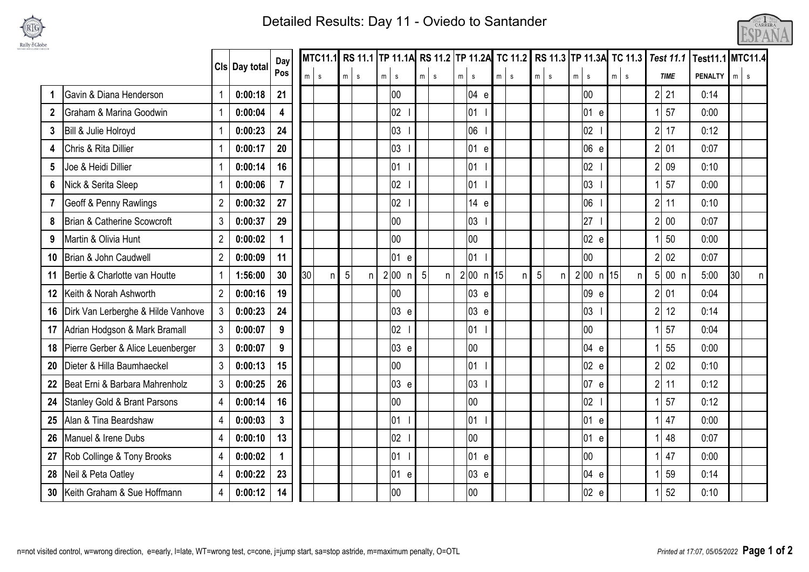

## Detailed Results: Day 11 - Oviedo to Santander



|                |                                         |                | Cls Day total | Day            |    | <b>MTC11.1</b> |                |   | RS 11.1 TP 11.1A RS 11.2 TP 11.2A TC 11.2 RS 11.3 TP 11.3A TC 11.3 Test 11.1 |                 |            |            |                       |    |              |                       |                 |         |                      |                | Test11.1 MTC11.4     |  |
|----------------|-----------------------------------------|----------------|---------------|----------------|----|----------------|----------------|---|------------------------------------------------------------------------------|-----------------|------------|------------|-----------------------|----|--------------|-----------------------|-----------------|---------|----------------------|----------------|----------------------|--|
|                |                                         |                |               | Pos            | m  | $\mathbf{s}$   | m s            |   | $m \mid s$                                                                   |                 | $m \simeq$ | $m \mid s$ |                       | m  | $\mathbf{s}$ | m<br>$\mathbf{s}$     | $m$ s           | m s     | <b>TIME</b>          | <b>PENALTY</b> | $m \mid s$           |  |
| $\mathbf 1$    | Gavin & Diana Henderson                 | $\overline{1}$ | 0:00:18       | 21             |    |                |                |   | 00                                                                           |                 |            |            | 04 e                  |    |              |                       | $00\,$          |         | 2 <sup>1</sup><br>21 | 0:14           |                      |  |
| $\mathbf{2}$   | Graham & Marina Goodwin                 | $\overline{1}$ | 0:00:04       | 4              |    |                |                |   | 02                                                                           |                 |            |            | 01                    |    |              |                       | 01 e            |         | 57                   | 0:00           |                      |  |
| 3              | Bill & Julie Holroyd                    | $\overline{1}$ | 0:00:23       | 24             |    |                |                |   | 03                                                                           |                 |            |            | 06                    |    |              |                       | 02 <sub>2</sub> |         | 2 <br>17             | 0:12           |                      |  |
| 4              | Chris & Rita Dillier                    | $\overline{1}$ | 0:00:17       | 20             |    |                |                |   | 03                                                                           |                 |            |            | 01 e                  |    |              |                       | 06 e            |         | 2 01                 | 0:07           |                      |  |
| 5              | Joe & Heidi Dillier                     |                | 0:00:14       | 16             |    |                |                |   | 01                                                                           |                 |            |            | 01                    |    |              |                       | 02 <sub>2</sub> |         | 2 <sup>1</sup><br>09 | 0:10           |                      |  |
| 6              | Nick & Serita Sleep                     |                | 0:00:06       | $\overline{7}$ |    |                |                |   | 02                                                                           |                 |            |            | 01                    |    |              |                       | 03 <sub>o</sub> |         | 57                   | 0:00           |                      |  |
| $\overline{7}$ | <b>Geoff &amp; Penny Rawlings</b>       | $\overline{2}$ | 0:00:32       | 27             |    |                |                |   | 02                                                                           |                 |            |            | 14 e                  |    |              |                       | 06              |         | 2 <br>11             | 0:10           |                      |  |
| 8              | Brian & Catherine Scowcroft             | $\mathbf{3}$   | 0:00:37       | 29             |    |                |                |   | 00                                                                           |                 |            |            | 03                    |    |              |                       | 27              |         | 00<br>2              | 0:07           |                      |  |
| 9              | Martin & Olivia Hunt                    | $\overline{2}$ | 0:00:02       |                |    |                |                |   | 00                                                                           |                 |            |            | $00\,$                |    |              |                       | 02 e            |         | 50                   | 0:00           |                      |  |
| 10             | Brian & John Caudwell                   | $\overline{2}$ | 0:00:09       | 11             |    |                |                |   | 01<br>e                                                                      |                 |            |            | 01                    |    |              |                       | $00\,$          |         | 02<br>2              | 0:07           |                      |  |
| 11             | Bertie & Charlotte van Houtte           | $\overline{1}$ | 1:56:00       | 30             | 30 | n              | $5\phantom{.}$ | n | 2 00<br>n                                                                    | $5\overline{)}$ | n          |            | 2 00 <br>$\mathsf{n}$ | 15 | n            | $5\phantom{.0}$<br>n. | 2 00 <br>n      | 15<br>n | $5$ 00 $n$           | 5:00           | 30 <sup>°</sup><br>n |  |
| 12             | Keith & Norah Ashworth                  | $\overline{2}$ | 0:00:16       | 19             |    |                |                |   | 00                                                                           |                 |            |            | 03 e                  |    |              |                       | 09 e            |         | 201                  | 0:04           |                      |  |
| 16             | Dirk Van Lerberghe & Hilde Vanhove      | $\mathbf{3}$   | 0:00:23       | 24             |    |                |                |   | 03e                                                                          |                 |            |            | 03e                   |    |              |                       | 03              |         | 2 <br>12             | 0:14           |                      |  |
| 17             | Adrian Hodgson & Mark Bramall           | $\mathbf{3}$   | 0:00:07       | 9              |    |                |                |   | 02                                                                           |                 |            |            | $ 01\rangle$          |    |              |                       | $00\,$          |         | 57<br>1              | 0:04           |                      |  |
| 18             | Pierre Gerber & Alice Leuenberger       | $\mathbf{3}$   | 0:00:07       | 9              |    |                |                |   | 03 e                                                                         |                 |            |            | 00                    |    |              |                       | 04 e            |         | 55                   | 0:00           |                      |  |
| 20             | Dieter & Hilla Baumhaeckel              | $\mathbf{3}$   | 0:00:13       | 15             |    |                |                |   | 00                                                                           |                 |            |            | $ 01\rangle$          |    |              |                       | 02e             |         | 202                  | 0:10           |                      |  |
| 22             | Beat Erni & Barbara Mahrenholz          | $\mathfrak{3}$ | 0:00:25       | 26             |    |                |                |   | 03e                                                                          |                 |            |            | 03                    |    |              |                       | 07 e            |         | $2$ 11               | 0:12           |                      |  |
| 24             | <b>Stanley Gold &amp; Brant Parsons</b> | $\overline{4}$ | 0:00:14       | 16             |    |                |                |   | 00                                                                           |                 |            |            | 00                    |    |              |                       | 02 <sub>2</sub> |         | 57                   | 0:12           |                      |  |
| 25             | Alan & Tina Beardshaw                   | $\overline{4}$ | 0:00:03       | $\mathbf{3}$   |    |                |                |   | 01                                                                           |                 |            |            | 01                    |    |              |                       | 01 e            |         | 47                   | 0:00           |                      |  |
| 26             | Manuel & Irene Dubs                     | $\overline{4}$ | 0:00:10       | 13             |    |                |                |   | 02                                                                           |                 |            |            | $00\,$                |    |              |                       | 01 e            |         | 48                   | 0:07           |                      |  |
| 27             | Rob Collinge & Tony Brooks              | $\overline{4}$ | 0:00:02       |                |    |                |                |   | 01                                                                           |                 |            |            | 01 e                  |    |              |                       | $00\,$          |         | 47                   | 0:00           |                      |  |
| 28             | Neil & Peta Oatley                      | $\overline{4}$ | 0:00:22       | 23             |    |                |                |   | 01 e                                                                         |                 |            |            | 03 e                  |    |              |                       | 04 e            |         | 59                   | 0:14           |                      |  |
|                | 30 Keith Graham & Sue Hoffmann          | $\overline{4}$ | 0:00:12       | 14             |    |                |                |   | 00                                                                           |                 |            |            | $00\,$                |    |              |                       | 02 e            |         | 52                   | 0:10           |                      |  |